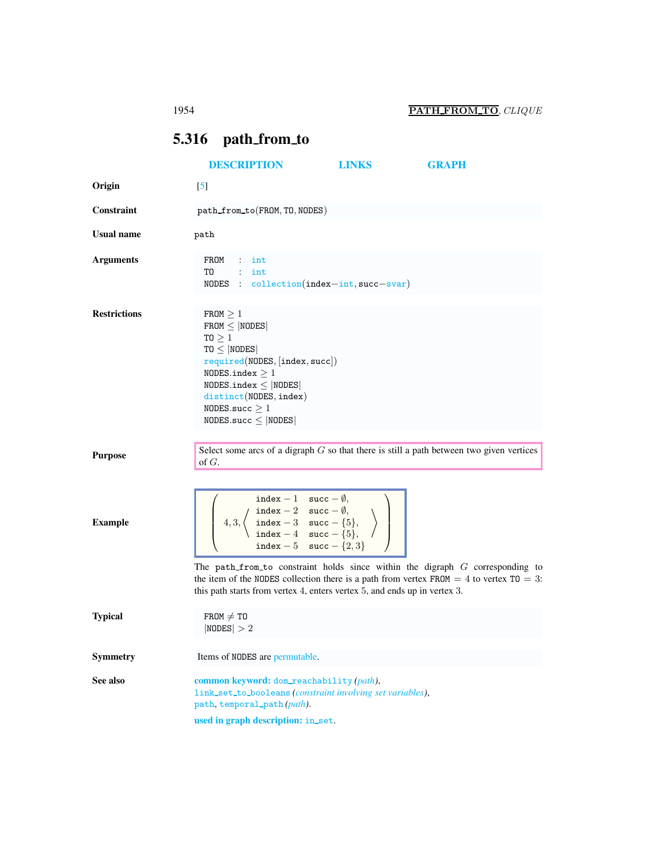## <span id="page-0-0"></span>5.316 path from to

<span id="page-0-1"></span>

|                     | <b>DESCRIPTION</b>                                                                                                                                                                                                                                                                                                                                          | <b>LINKS</b> | <b>GRAPH</b> |
|---------------------|-------------------------------------------------------------------------------------------------------------------------------------------------------------------------------------------------------------------------------------------------------------------------------------------------------------------------------------------------------------|--------------|--------------|
| Origin              | $\left[5\right]$                                                                                                                                                                                                                                                                                                                                            |              |              |
| Constraint          | path_from_to(FROM, TO, NODES)                                                                                                                                                                                                                                                                                                                               |              |              |
| <b>Usual name</b>   | path                                                                                                                                                                                                                                                                                                                                                        |              |              |
| <b>Arguments</b>    | FROM : int<br>$TO$ : int<br>NODES : collection(index-int, succ-svar)                                                                                                                                                                                                                                                                                        |              |              |
| <b>Restrictions</b> | $FROM \geq 1$<br>$FROM \leq  NODES $<br>TO $\geq 1$<br>$TO \leq  NODES $<br>required(NODES, [index, succ])<br>NODES.index $\geq 1$<br>$NODES.index \leq  NODES $<br>distinct(NODES, index)<br>NODES.succ $\geq 1$<br>$NODES.size \leq  NODES $                                                                                                              |              |              |
| <b>Purpose</b>      | Select some arcs of a digraph $G$ so that there is still a path between two given vertices<br>of $G$ .                                                                                                                                                                                                                                                      |              |              |
| <b>Example</b>      | $\left(\begin{array}{c} \texttt{index} - 1 & \texttt{succ} - \emptyset, \\ \texttt{index} - 2 & \texttt{succ} - \emptyset, \\ 4, 3, \left\langle \begin{array}{c} \texttt{index} - 3 & \texttt{succ} - \{5\}, \\ \texttt{index} - 4 & \texttt{succ} - \{5\}, \\ \texttt{index} - 5 & \texttt{succ} - \{2, 3\} \end{array} \right\rangle \end{array}\right)$ |              |              |
|                     | The path from to constraint holds since within the digraph $G$ corresponding to<br>the item of the NODES collection there is a path from vertex FROM $=$ 4 to vertex TO $=$ 3:<br>this path starts from vertex 4, enters vertex 5, and ends up in vertex 3.                                                                                                 |              |              |
| <b>Typical</b>      | $FROM \neq TO$<br> NODES  > 2                                                                                                                                                                                                                                                                                                                               |              |              |
| <b>Symmetry</b>     | Items of NODES are permutable.                                                                                                                                                                                                                                                                                                                              |              |              |
| See also            | common keyword: dom_reachability (path),<br>link_set_to_booleans(constraint involving set variables),<br>path, temporal_path(path).<br>used in graph description: in_set.                                                                                                                                                                                   |              |              |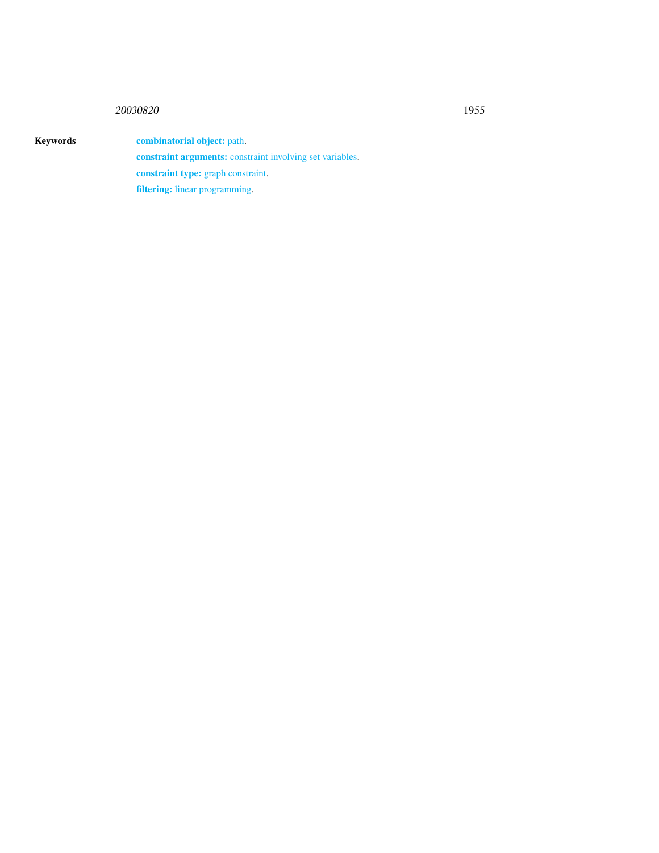## <sup>20030820</sup> 1955

Keywords combinatorial object: path. constraint arguments: constraint involving set variables. constraint type: graph constraint. filtering: linear programming.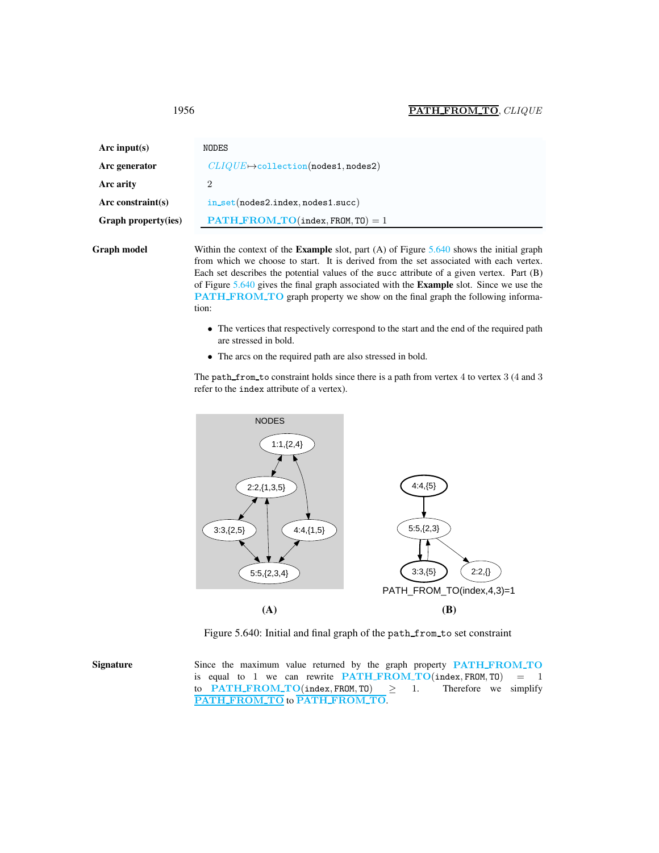<span id="page-2-0"></span>

| Arc input(s)                | NODES                                           |  |
|-----------------------------|-------------------------------------------------|--|
| Arc generator               | $CLIQUE \rightarrow collection(nodes1, nodes2)$ |  |
| Arc arity<br>$\overline{2}$ |                                                 |  |
| Arc constraint $(s)$        | in_set(nodes2.index,nodes1.succ)                |  |
| <b>Graph property(ies)</b>  | $PATH.FROM.TO(index, FROM, T0) = 1$             |  |

Graph model Within the context of the Example slot, part (A) of Figure [5.640](#page-2-1) shows the initial graph from which we choose to start. It is derived from the set associated with each vertex. Each set describes the potential values of the succ attribute of a given vertex. Part (B) of Figure [5.640](#page-2-1) gives the final graph associated with the Example slot. Since we use the PATH\_FROM\_TO graph property we show on the final graph the following information:

- The vertices that respectively correspond to the start and the end of the required path are stressed in bold.
- The arcs on the required path are also stressed in bold.

The path from to constraint holds since there is a path from vertex 4 to vertex 3 (4 and 3) refer to the index attribute of a vertex).



<span id="page-2-1"></span>Figure 5.640: Initial and final graph of the path from to set constraint

Signature Since the maximum value returned by the graph property PATH\_FROM\_TO is equal to 1 we can rewrite  $\frac{\text{PATH} \cdot \text{FROM} \cdot \text{TO}(\text{index}, \text{FROM}, \text{TO})}{\text{PATH} \cdot \text{FROM} \cdot \text{TO}(\text{index}, \text{FROM}, \text{TO})} \geq 1$ . Therefore we simplify to PATH\_FROM\_TO(index, FROM, TO)  $\geq$ PATH\_FROM\_TO to PATH\_FROM\_TO.